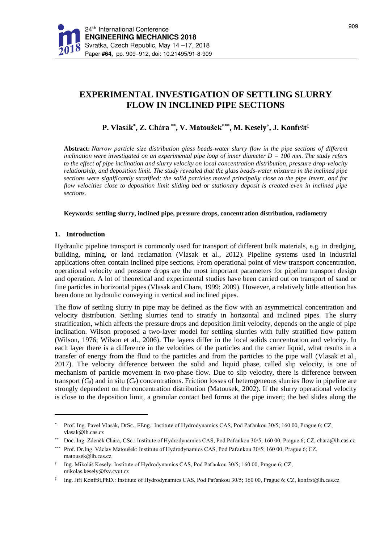# **EXPERIMENTAL INVESTIGATION OF SETTLING SLURRY FLOW IN INCLINED PIPE SECTIONS**

## **P. Vlas**á**k \* , Z. Ch**á**ra \*\* , V. Matoušek\*\*\* , M. Kesely† , J. Konfr**š**t ‡**

**Abstract:** *Narrow particle size distribution glass beads-water slurry flow in the pipe sections of different inclination were investigated on an experimental pipe loop of inner diameter D = 100 mm. The study refers to the effect of pipe inclination and slurry velocity on local concentration distribution, pressure drop-velocity relationship, and deposition limit. The study revealed that the glass beads-water mixtures in the inclined pipe sections were significantly stratified; the solid particles moved principally close to the pipe invert, and for flow velocities close to deposition limit sliding bed or stationary deposit is created even in inclined pipe sections.*

**Keywords: settling slurry, inclined pipe, pressure drops, concentration distribution, radiometry**

### **1. Introduction**

 $\overline{a}$ 

Hydraulic pipeline transport is commonly used for transport of different bulk materials, e.g. in dredging, building, mining, or land reclamation (Vlasak et al., 2012). Pipeline systems used in industrial applications often contain inclined pipe sections. From operational point of view transport concentration, operational velocity and pressure drops are the most important parameters for pipeline transport design and operation. A lot of theoretical and experimental studies have been carried out on transport of sand or fine particles in horizontal pipes (Vlasak and Chara, 1999; 2009). However, a relatively little attention has been done on hydraulic conveying in vertical and inclined pipes.

The flow of settling slurry in pipe may be defined as the flow with an asymmetrical concentration and velocity distribution. Settling slurries tend to stratify in horizontal and inclined pipes. The slurry stratification, which affects the pressure drops and deposition limit velocity, depends on the angle of pipe inclination. Wilson proposed a two**-**layer model for settling slurries with fully stratified flow pattern (Wilson, 1976; Wilson et al., 2006). The layers differ in the local solids concentration and velocity. In each layer there is a difference in the velocities of the particles and the carrier liquid, what results in a transfer of energy from the fluid to the particles and from the particles to the pipe wall (Vlasak et al., 2017). The velocity difference between the solid and liquid phase, called slip velocity, is one of mechanism of particle movement in two-phase flow. Due to slip velocity, there is difference between transport  $(C_d)$  and in situ  $(C_v)$  concentrations. Friction losses of heterogeneous slurries flow in pipeline are strongly dependent on the concentration distribution (Matousek, 2002). If the slurry operational velocity is close to the deposition limit, a granular contact bed forms at the pipe invert; the bed slides along the

<sup>\*</sup> Prof. Ing. Pavel Vlasák, DrSc., FEng.: Institute of Hydrodynamics CAS, Pod Paťankou 30/5; 160 00, Prague 6; CZ, vlasak@ih.cas.cz

Doc. Ing. Zdeněk Chára, CSc.: Institute of Hydrodynamics CAS, Pod Paťankou 30/5; 160 00, Prague 6; CZ, chara@ih.cas.cz

<sup>\*\*\*</sup> Prof. Dr.Ing. Václav Matoušek: Institute of Hydrodynamics CAS, Pod Paťankou 30/5; 160 00, Prague 6; CZ, matousek@ih.cas.cz

<sup>†</sup> Ing. Mikoláš Kesely: Institute of Hydrodynamics CAS, Pod Paťankou 30/5; 160 00, Prague 6; CZ, mikolas.kesely@fsv.cvut.cz

<sup>‡</sup> Ing. Jiří Konfršt,PhD.: Institute of Hydrodynamics CAS, Pod Paťankou 30/5; 160 00, Prague 6; CZ, konfrst@ih.cas.cz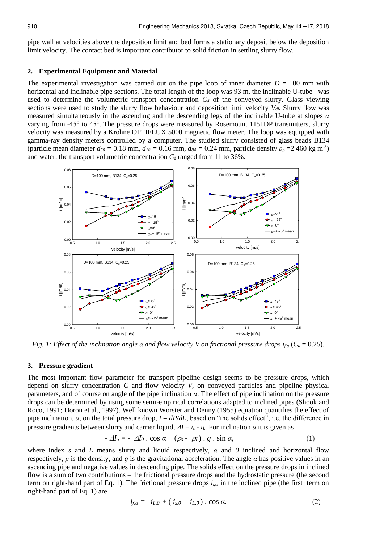pipe wall at velocities above the deposition limit and bed forms a stationary deposit below the deposition limit velocity. The contact bed is important contributor to solid friction in settling slurry flow.

#### **2. Experimental Equipment and Material**

The experimental investigation was carried out on the pipe loop of inner diameter  $D = 100$  mm with horizontal and inclinable pipe sections. The total length of the loop was 93 m, the inclinable U-tube was used to determine the volumetric transport concentration  $C_d$  of the conveyed slurry. Glass viewing sections were used to study the slurry flow behaviour and deposition limit velocity *Vdl*. Slurry flow was measured simultaneously in the ascending and the descending legs of the inclinable U-tube at slopes *α* varying from -45° to 45°. The pressure drops were measured by Rosemount 1151DP transmitters, slurry velocity was measured by a Krohne OPTIFLUX 5000 magnetic flow meter. The loop was equipped with gamma-ray density meters controlled by a computer. The studied slurry consisted of glass beads B134 (particle mean diameter  $d_{50} = 0.18$  mm,  $d_{18} = 0.16$  mm,  $d_{84} = 0.24$  mm, particle density  $\rho_p = 2460$  kg m<sup>-3</sup>) and water, the transport volumetric concentration *C<sup>d</sup>* ranged from 11 to 36%.



*Fig. 1: Effect of the inclination angle*  $\alpha$  *<i>and flow velocity V on frictional pressure drops*  $i_{\alpha}$  ( $C_d$  = 0.25).

#### **3. Pressure gradient**

The most important flow parameter for transport pipeline design seems to be pressure drops, which depend on slurry concentration *C* and flow velocity *V*, on conveyed particles and pipeline physical parameters, and of course on angle of the pipe inclination *α*. The effect of pipe inclination on the pressure drops can be determined by using some semi-empirical correlations adapted to inclined pipes (Shook and Roco, 1991; Doron et al., 1997). Well known Worster and Denny (1955) equation quantifies the effect of pipe inclination, *α*, on the total pressure drop, *I* = *dP/dL*, based on "the solids effect", i.e. the difference in pressure gradients between slurry and carrier liquid,  $\Delta I = i_s - i_l$ . For inclination  $\alpha$  it is given as

$$
-\Delta I_{\alpha} = -\Delta I_0 \cdot \cos \alpha + (\rho_s - \rho_L) \cdot g \cdot \sin \alpha, \qquad (1)
$$

where index *s* and *L* means slurry and liquid respectively,  $\alpha$  and  $\theta$  inclined and horizontal flow respectively, *ρ* is the density, and *g* is the gravitational acceleration. The angle *α* has positive values in an ascending pipe and negative values in descending pipe. The solids effect on the pressure drops in inclined flow is a sum of two contributions – the frictional pressure drops and the hydrostatic pressure (the second term on right-hand part of Eq. 1). The frictional pressure drops *if,α* in the inclined pipe (the first term on right-hand part of Eq. 1) are

$$
i_{f,\alpha} = i_{L,0} + (i_{s,0} - i_{L,0}) \cdot \cos \alpha. \tag{2}
$$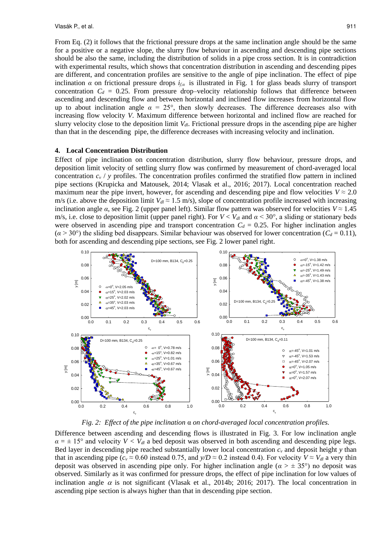From Eq. (2) it follows that the frictional pressure drops at the same inclination angle should be the same for a positive or a negative slope, the slurry flow behaviour in ascending and descending pipe sections should be also the same, including the distribution of solids in a pipe cross section. It is in contradiction with experimental results, which shows that concentration distribution in ascending and descending pipes are different, and concentration profiles are sensitive to the angle of pipe inclination. The effect of pipe inclination *α* on frictional pressure drops  $i<sub>f</sub>$  is illustrated in Fig. 1 for glass beads slurry of transport concentration  $C_d = 0.25$ . From pressure drop–velocity relationship follows that difference between ascending and descending flow and between horizontal and inclined flow increases from horizontal flow up to about inclination angle  $\alpha = 25^{\circ}$ , then slowly decreases. The difference decreases also with increasing flow velocity *V*. Maximum difference between horizontal and inclined flow are reached for slurry velocity close to the deposition limit *Vdl*. Frictional pressure drops in the ascending pipe are higher than that in the descending pipe, the difference decreases with increasing velocity and inclination.

#### **4. Local Concentration Distribution**

Effect of pipe inclination on concentration distribution, slurry flow behaviour, pressure drops, and deposition limit velocity of settling slurry flow was confirmed by measurement of chord-averaged local concentration  $c_v$  / *y* profiles. The concentration profiles confirmed the stratified flow pattern in inclined pipe sections (Krupicka and Matousek, 2014; Vlasak et al., 2016; 2017). Local concentration reached maximum near the pipe invert, however, for ascending and descending pipe and flow velocities  $V \approx 2.0$ m/s (i.e. above the deposition limit  $V_d \approx 1.5$  m/s), slope of concentration profile increased with increasing inclination angle  $\alpha$ , see Fig. 2 (upper panel left). Similar flow pattern was observed for velocities  $V \approx 1.45$ m/s, i.e. close to deposition limit (upper panel right). For  $V < V_{dl}$  and  $\alpha < 30^{\circ}$ , a sliding or stationary beds were observed in ascending pipe and transport concentration  $C_d = 0.25$ . For higher inclination angles  $(a > 30^{\circ})$  the sliding bed disappears. Similar behaviour was observed for lower concentration  $(C_d = 0.11)$ , both for ascending and descending pipe sections, see Fig. 2 lower panel right.



*Fig. 2: Effect of the pipe inclination* α *on chord-averaged local concentration profiles.*

Difference between ascending and descending flows is illustrated in Fig. 3. For low inclination angle  $\alpha = \pm 15^{\circ}$  and velocity  $V < V_{d*l*}$  a bed deposit was observed in both ascending and descending pipe legs. Bed layer in descending pipe reached substantially lower local concentration *c<sup>v</sup>* and deposit height *y* than that in ascending pipe ( $c_v \approx 0.60$  instead 0.75, and  $y/D \approx 0.2$  instead 0.4). For velocity  $V \approx V_{dd}$  a very thin deposit was observed in ascending pipe only. For higher inclination angle  $(a > \pm 35^{\circ})$  no deposit was observed. Similarly as it was confirmed for pressure drops, the effect of pipe inclination for low values of inclination angle  $\alpha$  is not significant (Vlasak et al., 2014b; 2016; 2017). The local concentration in ascending pipe section is always higher than that in descending pipe section.